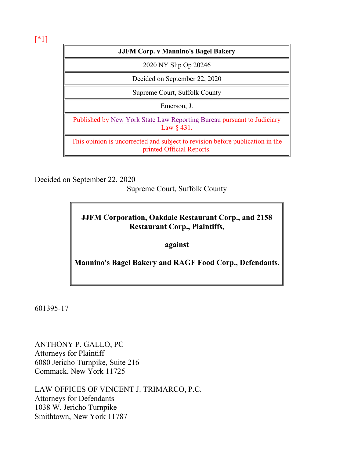[\*1]

### **JJFM Corp. v Mannino's Bagel Bakery**

2020 NY Slip Op 20246

Decided on September 22, 2020

Supreme Court, Suffolk County

Emerson, J.

Published by New York State Law Reporting Bureau pursuant to Judiciary Law § 431.

This opinion is uncorrected and subject to revision before publication in the printed Official Reports.

Decided on September 22, 2020

Supreme Court, Suffolk County

# **JJFM Corporation, Oakdale Restaurant Corp., and 2158 Restaurant Corp., Plaintiffs,**

**against**

**Mannino's Bagel Bakery and RAGF Food Corp., Defendants.**

601395-17

ANTHONY P. GALLO, PC Attorneys for Plaintiff 6080 Jericho Turnpike, Suite 216 Commack, New York 11725

LAW OFFICES OF VINCENT J. TRIMARCO, P.C. Attorneys for Defendants 1038 W. Jericho Turnpike Smithtown, New York 11787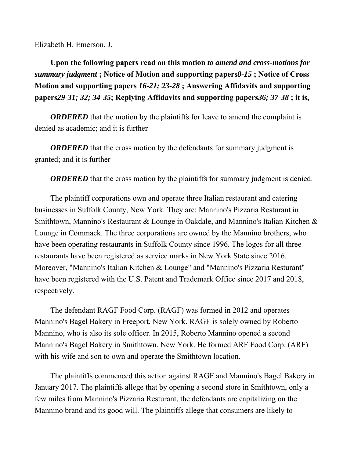Elizabeth H. Emerson, J.

**Upon the following papers read on this motion** *to amend and cross-motions for summary judgment* **; Notice of Motion and supporting papers***8-15* **; Notice of Cross Motion and supporting papers** *16-21; 23-28* **; Answering Affidavits and supporting papers***29-31; 32; 34-35***; Replying Affidavits and supporting papers***36; 37-38* **; it is,**

*ORDERED* that the motion by the plaintiffs for leave to amend the complaint is denied as academic; and it is further

*ORDERED* that the cross motion by the defendants for summary judgment is granted; and it is further

*ORDERED* that the cross motion by the plaintiffs for summary judgment is denied.

The plaintiff corporations own and operate three Italian restaurant and catering businesses in Suffolk County, New York. They are: Mannino's Pizzaria Resturant in Smithtown, Mannino's Restaurant & Lounge in Oakdale, and Mannino's Italian Kitchen & Lounge in Commack. The three corporations are owned by the Mannino brothers, who have been operating restaurants in Suffolk County since 1996. The logos for all three restaurants have been registered as service marks in New York State since 2016. Moreover, "Mannino's Italian Kitchen & Lounge" and "Mannino's Pizzaria Resturant" have been registered with the U.S. Patent and Trademark Office since 2017 and 2018, respectively.

The defendant RAGF Food Corp. (RAGF) was formed in 2012 and operates Mannino's Bagel Bakery in Freeport, New York. RAGF is solely owned by Roberto Mannino, who is also its sole officer. In 2015, Roberto Mannino opened a second Mannino's Bagel Bakery in Smithtown, New York. He formed ARF Food Corp. (ARF) with his wife and son to own and operate the Smithtown location.

The plaintiffs commenced this action against RAGF and Mannino's Bagel Bakery in January 2017. The plaintiffs allege that by opening a second store in Smithtown, only a few miles from Mannino's Pizzaria Resturant, the defendants are capitalizing on the Mannino brand and its good will. The plaintiffs allege that consumers are likely to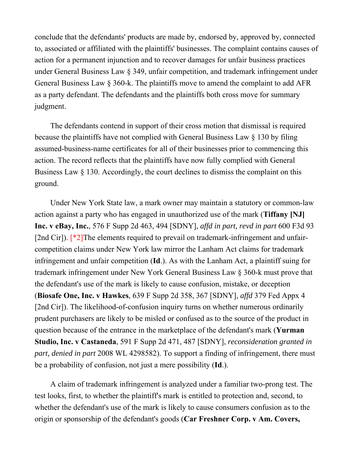conclude that the defendants' products are made by, endorsed by, approved by, connected to, associated or affiliated with the plaintiffs' businesses. The complaint contains causes of action for a permanent injunction and to recover damages for unfair business practices under General Business Law § 349, unfair competition, and trademark infringement under General Business Law § 360-k. The plaintiffs move to amend the complaint to add AFR as a party defendant. The defendants and the plaintiffs both cross move for summary judgment.

The defendants contend in support of their cross motion that dismissal is required because the plaintiffs have not complied with General Business Law § 130 by filing assumed-business-name certificates for all of their businesses prior to commencing this action. The record reflects that the plaintiffs have now fully complied with General Business Law § 130. Accordingly, the court declines to dismiss the complaint on this ground.

Under New York State law, a mark owner may maintain a statutory or common-law action against a party who has engaged in unauthorized use of the mark (**Tiffany [NJ] Inc. v eBay, Inc.**, 576 F Supp 2d 463, 494 [SDNY], *affd in part, revd in part* 600 F3d 93 [2nd Cir]). [\*2]The elements required to prevail on trademark-infringement and unfaircompetition claims under New York law mirror the Lanham Act claims for trademark infringement and unfair competition (**Id**.). As with the Lanham Act, a plaintiff suing for trademark infringement under New York General Business Law § 360-k must prove that the defendant's use of the mark is likely to cause confusion, mistake, or deception (**Biosafe One, Inc. v Hawkes**, 639 F Supp 2d 358, 367 [SDNY], *affd* 379 Fed Appx 4 [2nd Cir]). The likelihood-of-confusion inquiry turns on whether numerous ordinarily prudent purchasers are likely to be misled or confused as to the source of the product in question because of the entrance in the marketplace of the defendant's mark (**Yurman Studio, Inc. v Castaneda**, 591 F Supp 2d 471, 487 [SDNY], *reconsideration granted in part, denied in part* 2008 WL 4298582). To support a finding of infringement, there must be a probability of confusion, not just a mere possibility (**Id**.).

A claim of trademark infringement is analyzed under a familiar two-prong test. The test looks, first, to whether the plaintiff's mark is entitled to protection and, second, to whether the defendant's use of the mark is likely to cause consumers confusion as to the origin or sponsorship of the defendant's goods (**Car Freshner Corp. v Am. Covers,**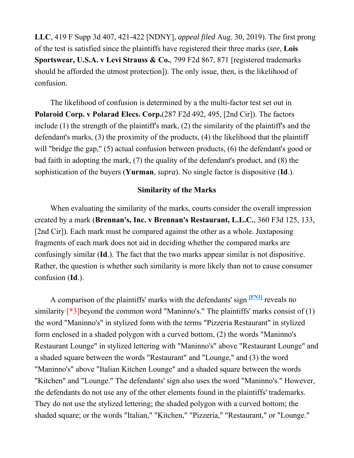**LLC**, 419 F Supp 3d 407, 421-422 [NDNY], *appeal filed* Aug. 30, 2019). The first prong of the test is satisfied since the plaintiffs have registered their three marks (*see*, **Lois Sportswear, U.S.A. v Levi Strauss & Co.**, 799 F2d 867, 871 [registered trademarks should be afforded the utmost protection]). The only issue, then, is the likelihood of confusion.

The likelihood of confusion is determined by a the multi-factor test set out in **Polaroid Corp. v Polarad Elecs. Corp.**(287 F2d 492, 495, [2nd Cir]). The factors include (1) the strength of the plaintiff's mark, (2) the similarity of the plaintiff's and the defendant's marks, (3) the proximity of the products, (4) the likelihood that the plaintiff will "bridge the gap," (5) actual confusion between products, (6) the defendant's good or bad faith in adopting the mark, (7) the quality of the defendant's product, and (8) the sophistication of the buyers (**Yurman**, *supra*). No single factor is dispositive (**Id**.).

### **Similarity of the Marks**

When evaluating the similarity of the marks, courts consider the overall impression created by a mark (**Brennan's, Inc. v Brennan's Restaurant, L.L.C.**, 360 F3d 125, 133, [2nd Cir]). Each mark must be compared against the other as a whole. Juxtaposing fragments of each mark does not aid in deciding whether the compared marks are confusingly similar (**Id**.). The fact that the two marks appear similar is not dispositive. Rather, the question is whether such similarity is more likely than not to cause consumer confusion (**Id**.).

A comparison of the plaintiffs' marks with the defendants' sign **[FN1]** reveals no similarity  $[{}^*3]$ beyond the common word "Maninno's." The plaintiffs' marks consist of (1) the word "Maninno's" in stylized form with the terms "Pizzeria Restaurant" in stylized form enclosed in a shaded polygon with a curved bottom, (2) the words "Maninno's Restaurant Lounge" in stylized lettering with "Maninno's" above "Restaurant Lounge" and a shaded square between the words "Restaurant" and "Lounge," and (3) the word "Maninno's" above "Italian Kitchen Lounge" and a shaded square between the words "Kitchen" and "Lounge." The defendants' sign also uses the word "Maninno's." However, the defendants do not use any of the other elements found in the plaintiffs' trademarks. They do not use the stylized lettering; the shaded polygon with a curved bottom; the shaded square; or the words "Italian," "Kitchen," "Pizzeria," "Restaurant," or "Lounge."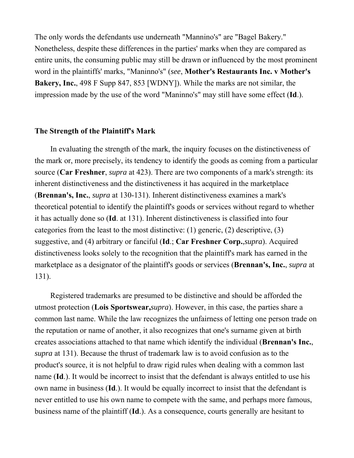The only words the defendants use underneath "Mannino's" are "Bagel Bakery." Nonetheless, despite these differences in the parties' marks when they are compared as entire units, the consuming public may still be drawn or influenced by the most prominent word in the plaintiffs' marks, "Maninno's" (*see*, **Mother's Restaurants Inc. v Mother's Bakery, Inc.**, 498 F Supp 847, 853 [WDNY]). While the marks are not similar, the impression made by the use of the word "Maninno's" may still have some effect (**Id**.).

#### **The Strength of the Plaintiff's Mark**

In evaluating the strength of the mark, the inquiry focuses on the distinctiveness of the mark or, more precisely, its tendency to identify the goods as coming from a particular source (**Car Freshner**, *supra* at 423). There are two components of a mark's strength: its inherent distinctiveness and the distinctiveness it has acquired in the marketplace (**Brennan's, Inc.**, *supra* at 130-131). Inherent distinctiveness examines a mark's theoretical potential to identify the plaintiff's goods or services without regard to whether it has actually done so (**Id**. at 131). Inherent distinctiveness is classified into four categories from the least to the most distinctive: (1) generic, (2) descriptive, (3) suggestive, and (4) arbitrary or fanciful (**Id**.; **Car Freshner Corp.**,*supra*). Acquired distinctiveness looks solely to the recognition that the plaintiff's mark has earned in the marketplace as a designator of the plaintiff's goods or services (**Brennan's, Inc.**, *supra* at 131).

Registered trademarks are presumed to be distinctive and should be afforded the utmost protection (**Lois Sportswear,***supra*). However, in this case, the parties share a common last name. While the law recognizes the unfairness of letting one person trade on the reputation or name of another, it also recognizes that one's surname given at birth creates associations attached to that name which identify the individual (**Brennan's Inc.**, *supra* at 131). Because the thrust of trademark law is to avoid confusion as to the product's source, it is not helpful to draw rigid rules when dealing with a common last name (**Id**.). It would be incorrect to insist that the defendant is always entitled to use his own name in business (**Id**.). It would be equally incorrect to insist that the defendant is never entitled to use his own name to compete with the same, and perhaps more famous, business name of the plaintiff (**Id**.). As a consequence, courts generally are hesitant to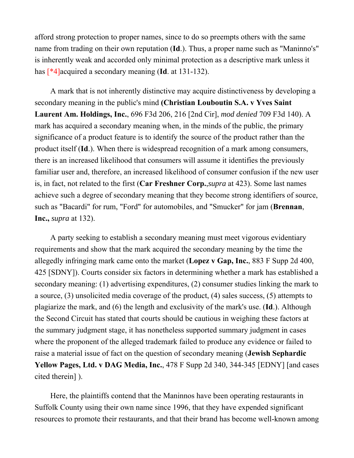afford strong protection to proper names, since to do so preempts others with the same name from trading on their own reputation (**Id**.). Thus, a proper name such as "Maninno's" is inherently weak and accorded only minimal protection as a descriptive mark unless it has [\*4]acquired a secondary meaning (**Id**. at 131-132).

A mark that is not inherently distinctive may acquire distinctiveness by developing a secondary meaning in the public's mind **(Christian Louboutin S.A. v Yves Saint Laurent Am. Holdings, Inc.**, 696 F3d 206, 216 [2nd Cir], *mod denied* 709 F3d 140). A mark has acquired a secondary meaning when, in the minds of the public, the primary significance of a product feature is to identify the source of the product rather than the product itself (**Id**.). When there is widespread recognition of a mark among consumers, there is an increased likelihood that consumers will assume it identifies the previously familiar user and, therefore, an increased likelihood of consumer confusion if the new user is, in fact, not related to the first (**Car Freshner Corp.**,*supra* at 423). Some last names achieve such a degree of secondary meaning that they become strong identifiers of source, such as "Bacardi" for rum, "Ford" for automobiles, and "Smucker" for jam (**Brennan**, **Inc.,** *supra* at 132).

A party seeking to establish a secondary meaning must meet vigorous evidentiary requirements and show that the mark acquired the secondary meaning by the time the allegedly infringing mark came onto the market (**Lopez v Gap, Inc.**, 883 F Supp 2d 400, 425 [SDNY]). Courts consider six factors in determining whether a mark has established a secondary meaning: (1) advertising expenditures, (2) consumer studies linking the mark to a source, (3) unsolicited media coverage of the product, (4) sales success, (5) attempts to plagiarize the mark, and (6) the length and exclusivity of the mark's use. (**Id**.). Although the Second Circuit has stated that courts should be cautious in weighing these factors at the summary judgment stage, it has nonetheless supported summary judgment in cases where the proponent of the alleged trademark failed to produce any evidence or failed to raise a material issue of fact on the question of secondary meaning (**Jewish Sephardic Yellow Pages, Ltd. v DAG Media, Inc.**, 478 F Supp 2d 340, 344-345 [EDNY] [and cases cited therein] ).

Here, the plaintiffs contend that the Maninnos have been operating restaurants in Suffolk County using their own name since 1996, that they have expended significant resources to promote their restaurants, and that their brand has become well-known among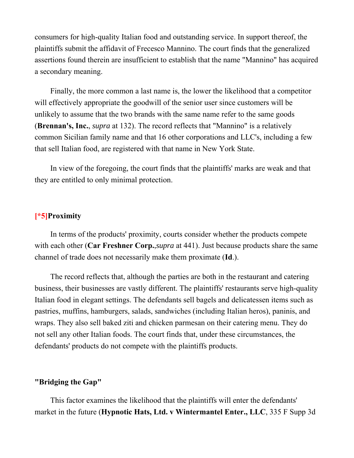consumers for high-quality Italian food and outstanding service. In support thereof, the plaintiffs submit the affidavit of Frecesco Mannino. The court finds that the generalized assertions found therein are insufficient to establish that the name "Mannino" has acquired a secondary meaning.

Finally, the more common a last name is, the lower the likelihood that a competitor will effectively appropriate the goodwill of the senior user since customers will be unlikely to assume that the two brands with the same name refer to the same goods (**Brennan's, Inc.**, *supra* at 132). The record reflects that "Mannino" is a relatively common Sicilian family name and that 16 other corporations and LLC's, including a few that sell Italian food, are registered with that name in New York State.

In view of the foregoing, the court finds that the plaintiffs' marks are weak and that they are entitled to only minimal protection.

# **[\*5]Proximity**

In terms of the products' proximity, courts consider whether the products compete with each other (**Car Freshner Corp.**,*supra* at 441). Just because products share the same channel of trade does not necessarily make them proximate (**Id**.).

The record reflects that, although the parties are both in the restaurant and catering business, their businesses are vastly different. The plaintiffs' restaurants serve high-quality Italian food in elegant settings. The defendants sell bagels and delicatessen items such as pastries, muffins, hamburgers, salads, sandwiches (including Italian heros), paninis, and wraps. They also sell baked ziti and chicken parmesan on their catering menu. They do not sell any other Italian foods. The court finds that, under these circumstances, the defendants' products do not compete with the plaintiffs products.

### **"Bridging the Gap"**

This factor examines the likelihood that the plaintiffs will enter the defendants' market in the future (**Hypnotic Hats, Ltd. v Wintermantel Enter., LLC**, 335 F Supp 3d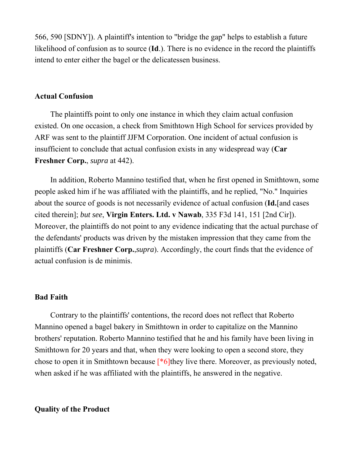566, 590 [SDNY]). A plaintiff's intention to "bridge the gap" helps to establish a future likelihood of confusion as to source (**Id**.). There is no evidence in the record the plaintiffs intend to enter either the bagel or the delicatessen business.

### **Actual Confusion**

The plaintiffs point to only one instance in which they claim actual confusion existed. On one occasion, a check from Smithtown High School for services provided by ARF was sent to the plaintiff JJFM Corporation. One incident of actual confusion is insufficient to conclude that actual confusion exists in any widespread way (**Car Freshner Corp.**, *supra* at 442).

In addition, Roberto Mannino testified that, when he first opened in Smithtown, some people asked him if he was affiliated with the plaintiffs, and he replied, "No." Inquiries about the source of goods is not necessarily evidence of actual confusion (**Id.**[and cases cited therein]; *but see*, **Virgin Enters. Ltd. v Nawab**, 335 F3d 141, 151 [2nd Cir]). Moreover, the plaintiffs do not point to any evidence indicating that the actual purchase of the defendants' products was driven by the mistaken impression that they came from the plaintiffs (**Car Freshner Corp.**,*supra*). Accordingly, the court finds that the evidence of actual confusion is de minimis.

### **Bad Faith**

Contrary to the plaintiffs' contentions, the record does not reflect that Roberto Mannino opened a bagel bakery in Smithtown in order to capitalize on the Mannino brothers' reputation. Roberto Mannino testified that he and his family have been living in Smithtown for 20 years and that, when they were looking to open a second store, they chose to open it in Smithtown because  $[*6]$ they live there. Moreover, as previously noted, when asked if he was affiliated with the plaintiffs, he answered in the negative.

### **Quality of the Product**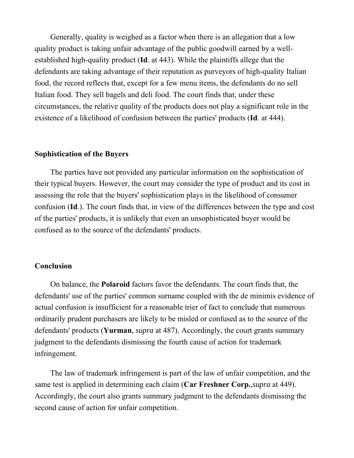Generally, quality is weighed as a factor when there is an allegation that a low quality product is taking unfair advantage of the public goodwill earned by a wellestablished high-quality product (**Id**. at 443). While the plaintiffs allege that the defendants are taking advantage of their reputation as purveyors of high-quality Italian food, the record reflects that, except for a few menu items, the defendants do no sell Italian food. They sell bagels and deli food. The court finds that, under these circumstances, the relative quality of the products does not play a significant role in the existence of a likelihood of confusion between the parties' products (**Id**. at 444).

# **Sophistication of the Buyers**

The parties have not provided any particular information on the sophistication of their typical buyers. However, the court may consider the type of product and its cost in assessing the role that the buyers' sophistication plays in the likelihood of consumer confusion (**Id**.). The court finds that, in view of the differences between the type and cost of the parties' products, it is unlikely that even an unsophisticated buyer would be confused as to the source of the defendants' products.

### **Conclusion**

On balance, the **Polaroid** factors favor the defendants. The court finds that, the defendants' use of the parties' common surname coupled with the de minimis evidence of actual confusion is insufficient for a reasonable trier of fact to conclude that numerous ordinarily prudent purchasers are likely to be misled or confused as to the source of the defendants' products (**Yurman**, *supra* at 487). Accordingly, the court grants summary judgment to the defendants dismissing the fourth cause of action for trademark infringement.

The law of trademark infringement is part of the law of unfair competition, and the same test is applied in determining each claim (**Car Freshner Corp.**,*supra* at 449). Accordingly, the court also grants summary judgment to the defendants dismissing the second cause of action for unfair competition.